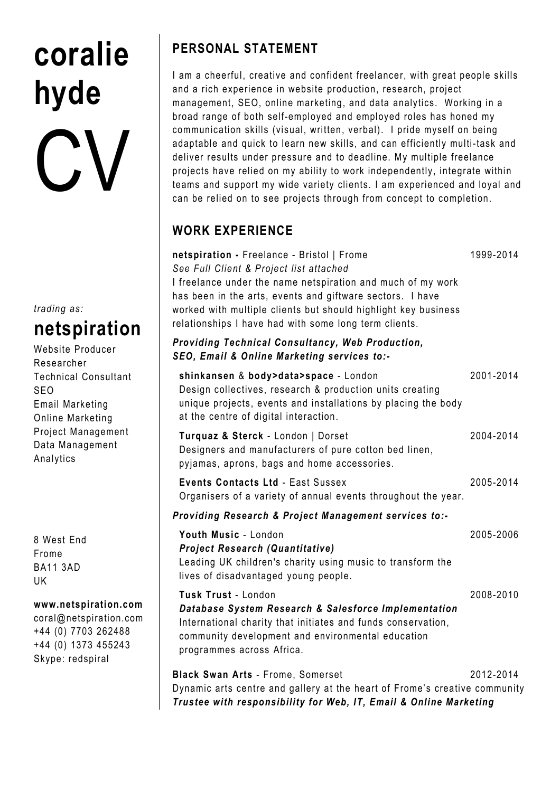# coralie hyde CV

trading as:

# netspiration

Website Producer Researcher Technical Consultant SEO Email Marketing Online Marketing Project Management Data Management Analytics

8 West End Frome BA11 3AD UK

#### www.netspiration.com

coral@netspiration.com +44 (0) 7703 262488 +44 (0) 1373 455243 Skype: redspiral

## PERSONAL STATEMENT

I am a cheerful, creative and confident freelancer, with great people skills and a rich experience in website production, research, project management, SEO, online marketing, and data analytics. Working in a broad range of both self-employed and employed roles has honed my communication skills (visual, written, verbal). I pride myself on being adaptable and quick to learn new skills, and can efficiently multi-task and deliver results under pressure and to deadline. My multiple freelance projects have relied on my ability to work independently, integrate within teams and support my wide variety clients. I am experienced and loyal and can be relied on to see projects through from concept to completion.

## WORK EXPERIENCE

| netspiration - Freelance - Bristol   Frome<br>See Full Client & Project list attached<br>I freelance under the name netspiration and much of my work<br>has been in the arts, events and giftware sectors. I have<br>worked with multiple clients but should highlight key business<br>relationships I have had with some long term clients. | 1999-2014 |
|----------------------------------------------------------------------------------------------------------------------------------------------------------------------------------------------------------------------------------------------------------------------------------------------------------------------------------------------|-----------|
| Providing Technical Consultancy, Web Production,<br>SEO, Email & Online Marketing services to:-                                                                                                                                                                                                                                              |           |
| shinkansen & body>data>space - London<br>Design collectives, research & production units creating<br>unique projects, events and installations by placing the body<br>at the centre of digital interaction.                                                                                                                                  | 2001-2014 |
| Turquaz & Sterck - London   Dorset<br>Designers and manufacturers of pure cotton bed linen,<br>pyjamas, aprons, bags and home accessories.                                                                                                                                                                                                   | 2004-2014 |
| <b>Events Contacts Ltd - East Sussex</b><br>Organisers of a variety of annual events throughout the year.                                                                                                                                                                                                                                    | 2005-2014 |
| Providing Research & Project Management services to:-                                                                                                                                                                                                                                                                                        |           |
| Youth Music - London<br><b>Project Research (Quantitative)</b><br>Leading UK children's charity using music to transform the<br>lives of disadvantaged young people.                                                                                                                                                                         | 2005-2006 |
| Tusk Trust - London<br>Database System Research & Salesforce Implementation<br>International charity that initiates and funds conservation,<br>community development and environmental education<br>programmes across Africa.                                                                                                                | 2008-2010 |
| <b>Black Swan Arts - Frome, Somerset</b><br>Dynamic arts centre and gallery at the heart of Frome's creative community<br>Trustee with responsibility for Web, IT, Email & Online Marketing                                                                                                                                                  | 2012-2014 |